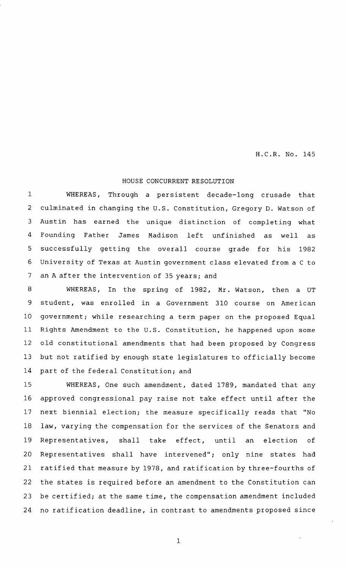H.C.R. No. 145

## HOUSE CONCURRENT RESOLUTION

WHEREAS, Through a persistent decade-long crusade that culminated in changing the U.S. Constitution, Gregory D. Watson of Austin has earned the unique distinction of completing what Founding Father James Madison left unfinished as well as successfully getting the overall course grade for his 1982 University of Texas at Austin government class elevated from <sup>a</sup> <sup>C</sup> to an <sup>A</sup> after the intervention of 35 years; and 1 2 3 4 5 6 7

WHEREAS, In the spring of 1982, Mr. Watson, then <sup>a</sup> UT student, was enrolled in <sup>a</sup> Government 310 course on American government; while researching <sup>a</sup> term paper on the proposed Equal Rights Amendment to the U.S. Constitution, he happened upon some old constitutional amendments that had been proposed by Congress but not ratified by enough state legislatures to officially become part of the federal Constitution; and 8 9 10 11 12 13 14

WHEREAS, One such amendment, dated 1789, mandated that any approved congressional pay raise not take effect until after the next biennial election; the measure specifically reads that "No law, varying the compensation for the services of the Senators and Representatives, shall take effect, until an election of Representatives shall have intervened"; only nine states had ratified that measure by 1978, and ratification by three-fourths of the states is required before an amendment to the Constitution can be certified; at the same time, the compensation amendment included no ratification deadline , in contrast to amendments proposed since 15 16 17 18 19 20 21 22 23 24

1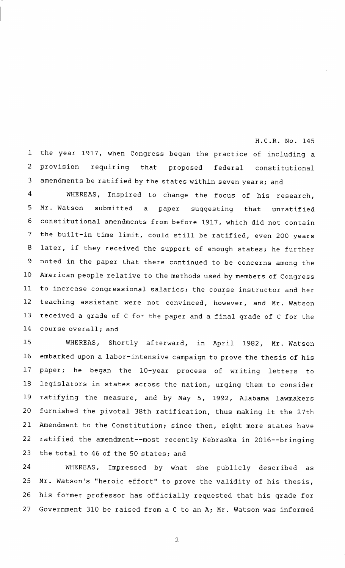<sup>1</sup> the year 1917, when Congress began the practice of including <sup>a</sup> provision requiring that proposed federal constitutional amendments be ratified by the states within seven years; and 2 3

H.C.R. No. 145

WHEREAS, Inspired to change the focus of his research, Mr. Watson submitted <sup>a</sup> paper suggesting that unratified constitutional amendments from before <sup>1917</sup> , which did not contain the built-in time limit, could still be ratified, even <sup>200</sup> years later, if they received the support of enough states; he further noted in the paper that there continued to be concerns among the American people relative to the methods used by members of Congress to increase congressional salaries; the course instructor and her teaching assistant were not convinced, however, and Mr. Watson received <sup>a</sup> grade of <sup>C</sup> for the paper and <sup>a</sup> final grade of <sup>C</sup> for the course overall; and 4 5 6 7 8 9 10 11 12 13 14

WHEREAS, Shortly afterward, in April 1982, Mr. Watson embarked upon a labor-intensive campaign to prove the thesis of his paper; he began the 10-year process of writing letters to legislators in states across the nation, urging them to consider ratifying the measure, and by May 5, 1992, Alabama lawmakers furnished the pivotal 38th ratification, thus making it the 27th Amendment to the Constitution; since then, eight more states have ratified the amendment--most recently Nebraska in 2016--bringing the total to 46 of the 50 states; and 15 16 17 18 19 20 21 22 23

WHEREAS, Impressed by what she publicly described as Mr. Watson's "heroic effort" to prove the validity of his thesis, his former professor has officially requested that his grade for Government 310 be raised from a C to an A; Mr. Watson was informed 24 25 26 27

2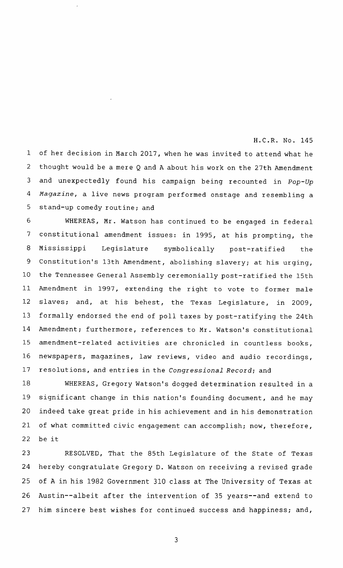## H.C.R. No. 145

<sup>1</sup> of her decision in March <sup>2017</sup> , when he was invited to attend what he thought would be <sup>a</sup> mere <sup>Q</sup> and <sup>A</sup> about his work on the 27th Amendment and unexpectedly found his campaign being recounted in *Pop-Up Magazine , a* live news program performed onstage and resembling <sup>a</sup> stand-up comedy routine; and 2 3 *4* 5

WHEREAS, Mr. Watson has continued to be engaged in federal constitutional amendment issues: in 1995, at his prompting, the Mississippi Legislature symbolically post-ratified the Constitution's 13th Amendment, abolishing slavery; at his urging, the Tennessee General Assembly ceremonially post-ratified the 15th Amendment in 1997, extending the right to vote to former male slaves; and, at his behest, the Texas Legislature, in 2009, formally endorsed the end of poll taxes by post-ratifying the 24th Amendment; furthermore, references to Mr. Watson's constitutional amendment-related activities are chronicled in countless books, newspapers, magazines, law reviews, video and audio recordings, resolutions , and entries in the *Congressional Record; and* 6 7 8 9 10 11 12 13 14 15 16 17

WHEREAS, Gregory Watson's dogged determination resulted in a significant change in this nation's founding document, and he may indeed take great pride in his achievement and in his demonstration of what committed civic engagement can accomplish; now, therefore, be it 18 19 20 21 22

RESOLVED, That the 85th Legislature of the State of Texas hereby congratulate Gregory D. Watson on receiving <sup>a</sup> revised grade of <sup>A</sup> in his 1982 Government 310 class at The University of Texas at Austin--albeit after the intervention of 35 years--and extend to him sincere best wishes for continued success and happiness; and, 23 24 25 26 27

3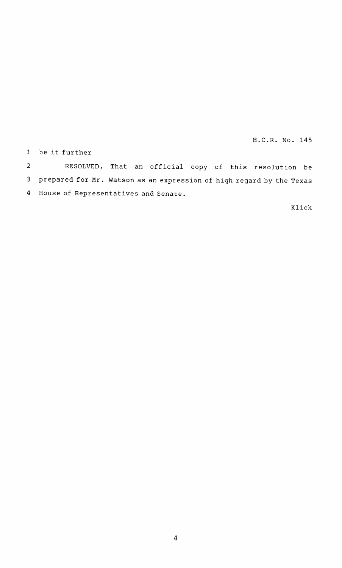H.C.R. No. 145

1 be it further

 $\bar{z}$ 

RESOLVED, That an official copy of this resolution be prepared for Mr. Watson as an expression of high regard by the Texas House of Representatives and Senate. 2 3 4

Klick